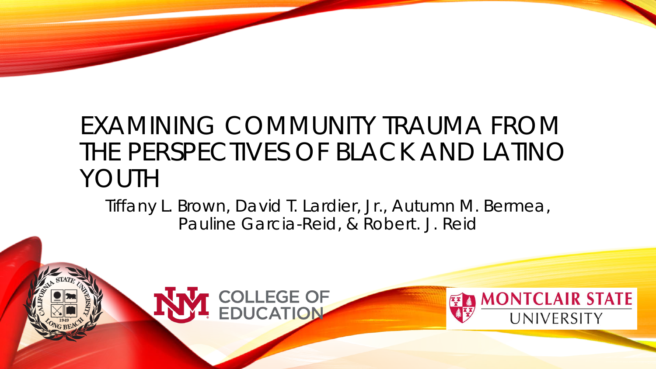### EXAMINING COMMUNITY TRAUMA FROM THE PERSPECTIVES OF BLACK AND LATINO YOUTH

Tiffany L. Brown, David T. Lardier, Jr., Autumn M. Bermea, Pauline Garcia-Reid, & Robert. J. Reid

**EXAMONTCLAIR STATE** 

UNIVERSITY

T COLLEGE OF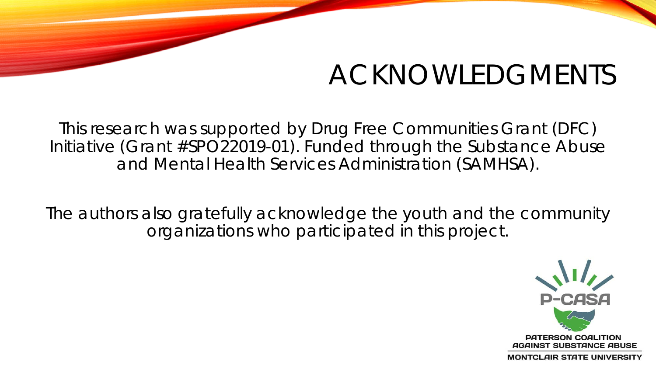# ACKNOWLEDGMENTS

This research was supported by Drug Free Communities Grant (DFC) Initiative (Grant #SPO22019-01). Funded through the Substance Abuse and Mental Health Services Administration (SAMHSA).

The authors also gratefully acknowledge the youth and the community organizations who participated in this project.



**MONTCLAIR STATE UNIVERSITY**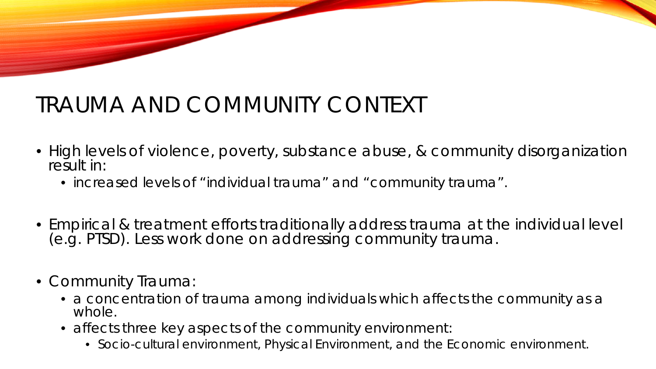## TRAUMA AND COMMUNITY CONTEXT

- High levels of violence, poverty, substance abuse, & community disorganization result in:
	- increased levels of "individual trauma" and "community trauma".
- Empirical & treatment efforts traditionally address trauma at the individual level (e.g. PTSD). Less work done on addressing community trauma.
- Community Trauma:
	- a concentration of trauma among individuals which affects the community as a whole.
	- affects three key aspects of the community environment:
		- Socio-cultural environment, Physical Environment, and the Economic environment.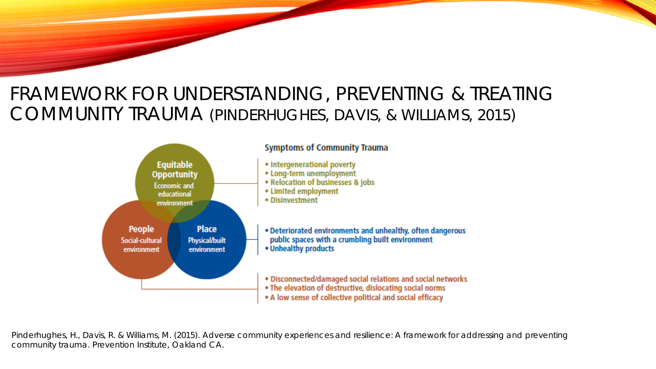### FRAMEWORK FOR UNDERSTANDING, PREVENTING & TREATING COMMUNITY TRAUMA (PINDERHUGHES, DAVIS, & WILLIAMS, 2015)



Pinderhughes, H., Davis, R. & Williams, M. (2015). Adverse community experiences and resilience: A framework for addressing and preventing community trauma. Prevention Institute, Oakland CA.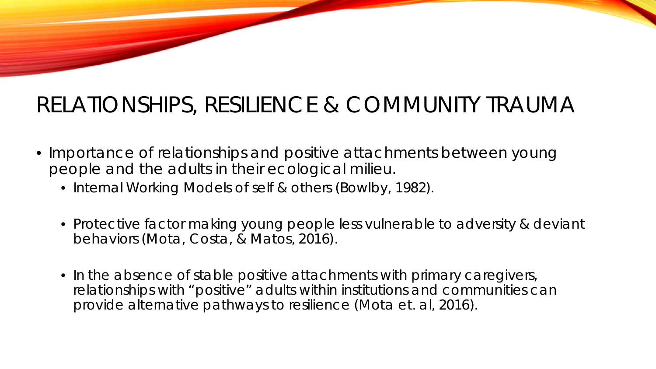### RELATIONSHIPS, RESILIENCE & COMMUNITY TRAUMA

- Importance of relationships and positive attachments between young people and the adults in their ecological milieu.
	- Internal Working Models of self & others (Bowlby, 1982).
	- Protective factor making young people less vulnerable to adversity & deviant behaviors (Mota, Costa, & Matos, 2016).
	- In the absence of stable positive attachments with primary caregivers, relationships with "positive" adults within institutions and communities can provide alternative pathways to resilience (Mota et. al, 2016).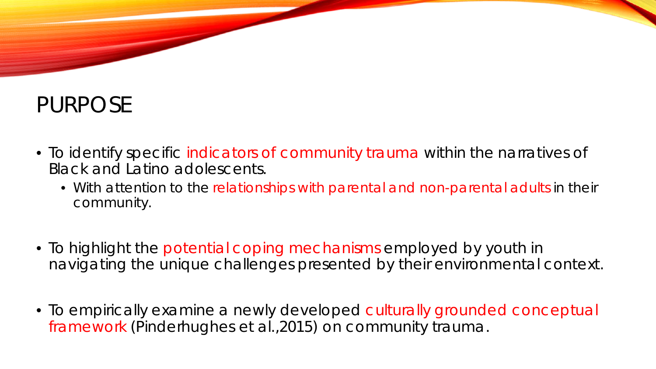### PURPOSE

- To identify specific indicators of community trauma within the narratives of Black and Latino adolescents.
	- With attention to the relationships with parental and non-parental adults in their community.
- To highlight the potential coping mechanisms employed by youth in navigating the unique challenges presented by their environmental context.
- To empirically examine a newly developed culturally grounded conceptual framework (Pinderhughes et al.,2015) on community trauma.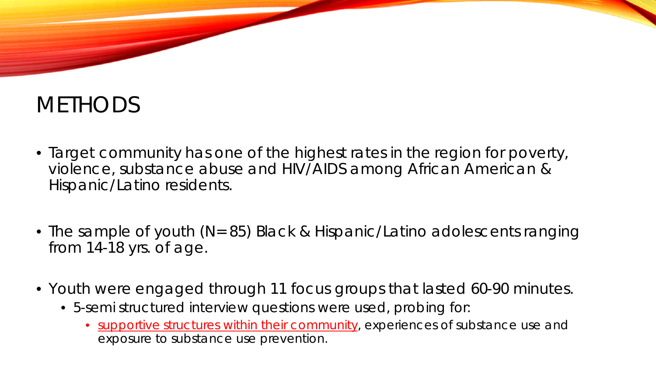### **METHODS**

- Target community has one of the highest rates in the region for poverty, violence, substance abuse and HIV/AIDS among African American & Hispanic/Latino residents.
- The sample of youth (N= 85) Black & Hispanic/Latino adolescents ranging from 14-18 yrs. of age.
- Youth were engaged through 11 focus groups that lasted 60-90 minutes.
	- 5-semi structured interview questions were used, probing for:
		- supportive structures within their community, experiences of substance use and exposure to substance use prevention.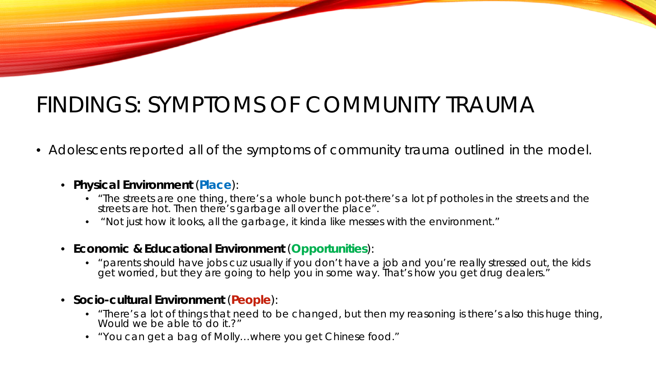### FINDINGS: SYMPTOMS OF COMMUNITY TRAUMA

- Adolescents reported all of the symptoms of community trauma outlined in the model.
	- **Physical Environment** (**Place**):
		- "The streets are one thing, there's a whole bunch pot-there's a lot pf potholes in the streets and the streets are hot. Then there's garbage all over the place".
		- "Not just how it looks, all the garbage, it kinda like messes with the environment."
	- **Economic & Educational Environment** (**Opportunities**):
		- "parents should have jobs cuz usually if you don't have a job and you're really stressed out, the kids get worried, but they are going to help you in some way. That's how you get drug dealers."
	- **Socio-cultural Environment** (**People**):
		- "There's a lot of things that need to be changed, but then my reasoning is there's also this huge thing, Would we be able to do it.?"
		- "You can get a bag of Molly…where you get Chinese food."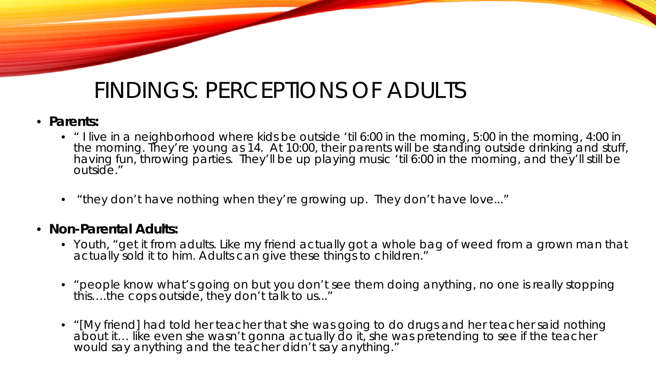### FINDINGS: PERCEPTIONS OF ADULTS

#### • **Parents:**

- " I live in a neighborhood where kids be outside 'til 6:00 in the morning, 5:00 in the morning, 4:00 in the morning. They're young as 14. At 10:00, their parents will be standing outside drinking and stuff, having fun, throwing parties. They'll be up playing music 'til 6:00 in the morning, and they'll still be outside."
- "they don't have nothing when they're growing up. They don't have love..."

#### • **Non-Parental Adults:**

- Youth, "get it from adults. Like my friend actually got a whole bag of weed from a grown man that actually sold it to him. Adults can give these things to children."
- "people know what's going on but you don't see them doing anything, no one is really stopping this….the cops outside, they don't talk to us..."
- "[My friend] had told her teacher that she was going to do drugs and her teacher said nothing about it… like even she wasn't gonna actually do it, she was pretending to see if the teacher would say anything and the teacher didn't say anything."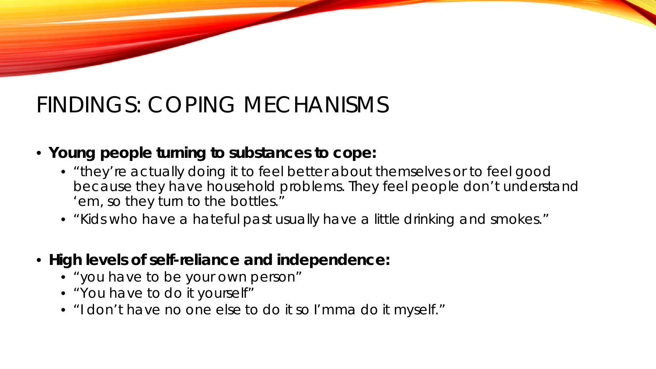### FINDINGS: COPING MECHANISMS

### • **Young people turning to substances to cope:**

- "they're actually doing it to feel better about themselves or to feel good because they have household problems. They feel people don't understand 'em, so they turn to the bottles."
- "Kids who have a hateful past usually have a little drinking and smokes."
- **High levels of self-reliance and independence:**
	- "you have to be your own person"
	- "You have to do it yourself"
	- "I don't have no one else to do it so I'mma do it myself."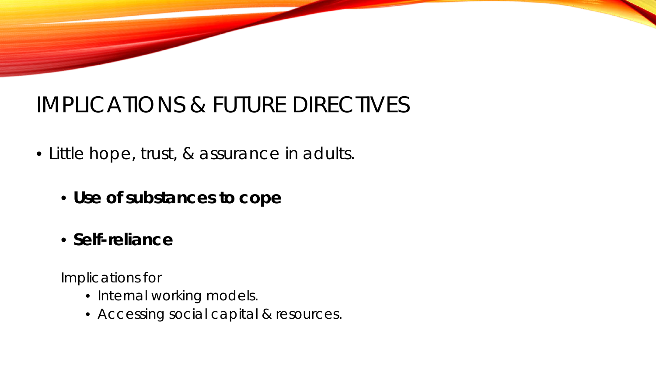### IMPLICATIONS & FUTURE DIRECTIVES

- Little hope, trust, & assurance in adults.
	- **Use of substances to cope**
	- **Self-reliance**

*Implications for* 

- Internal working models.
- Accessing social capital & resources.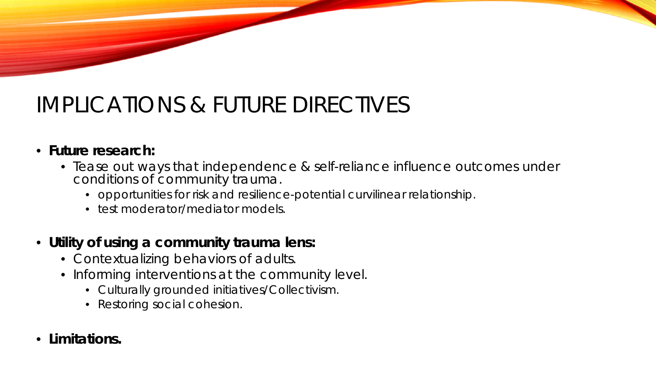## IMPLICATIONS & FUTURE DIRECTIVES

#### • **Future research:**

- Tease out ways that independence & self-reliance influence outcomes under conditions of community trauma.
	- opportunities for risk and resilience-potential curvilinear relationship.
	- test moderator/mediator models.
- **Utility of using a community trauma lens:**
	- Contextualizing behaviors of adults.
	- Informing interventions at the community level.
		- Culturally grounded initiatives/Collectivism.
		- Restoring social cohesion.
- **Limitations.**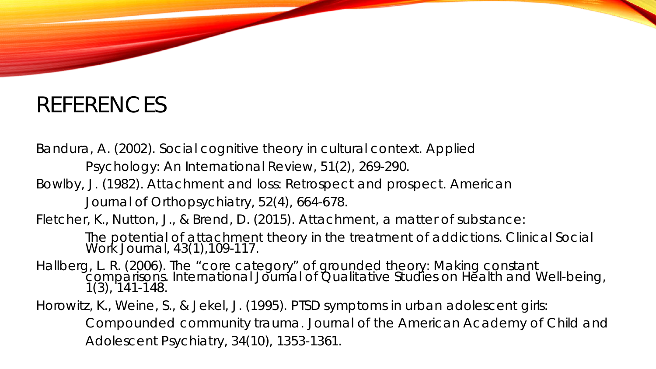### REFERENCES

Bandura, A. (2002). Social cognitive theory in cultural context. *Applied Psychology: An International Review, 51*(2), 269-290. Bowlby, J. (1982). Attachment and loss: Retrospect and prospect. *American Journal of Orthopsychiatry, 52*(4), 664-678. Fletcher, K., Nutton, J., & Brend, D. (2015). Attachment, a matter of substance: The potential of attachment theory in the treatment of addictions. *Clinical Social Work Journal, 43*(1),109-117. Hallberg, L. R. (2006). The "core category" of grounded theory: Making constant comparisons. *International Journal of Qualitative Studies on Health and Well-being, 1*(3), 141-148. Horowitz, K., Weine, S., & Jekel, J. (1995). PTSD symptoms in urban adolescent girls:

Compounded community trauma. *Journal of the American Academy of Child and Adolescent Psychiatry, 34*(10), 1353-1361.